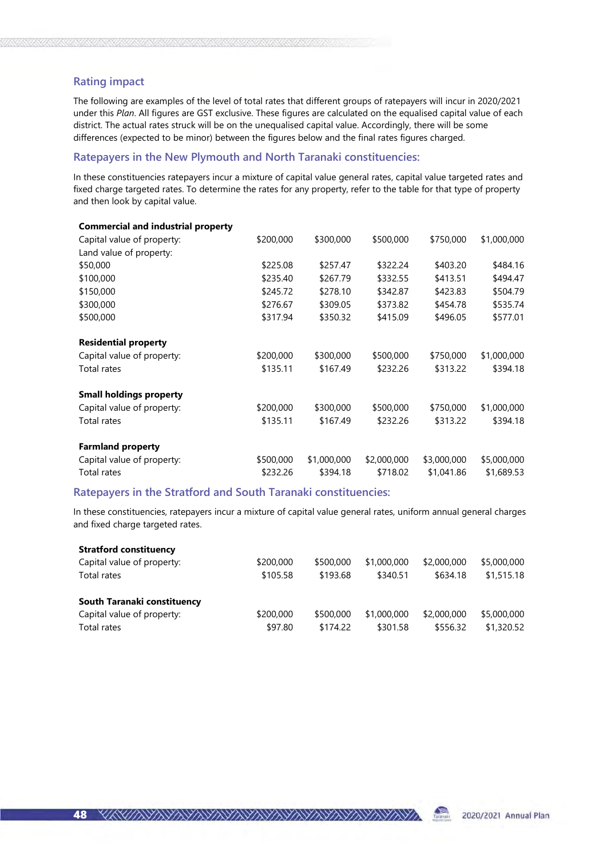# Rating impact

The following are examples of the level of total rates that different groups of ratepayers will incur in 2020/2021 under this Plan. All figures are GST exclusive. These figures are calculated on the equalised capital value of each district. The actual rates struck will be on the unequalised capital value. Accordingly, there will be some differences (expected to be minor) between the figures below and the final rates figures charged.

#### Ratepayers in the New Plymouth and North Taranaki constituencies:

In these constituencies ratepayers incur a mixture of capital value general rates, capital value targeted rates and fixed charge targeted rates. To determine the rates for any property, refer to the table for that type of property and then look by capital value.

| <b>Commercial and industrial property</b> |           |             |             |             |             |
|-------------------------------------------|-----------|-------------|-------------|-------------|-------------|
| Capital value of property:                | \$200,000 | \$300,000   | \$500,000   | \$750,000   | \$1,000,000 |
| Land value of property:                   |           |             |             |             |             |
| \$50,000                                  | \$225.08  | \$257.47    | \$322.24    | \$403.20    | \$484.16    |
| \$100,000                                 | \$235.40  | \$267.79    | \$332.55    | \$413.51    | \$494.47    |
| \$150,000                                 | \$245.72  | \$278.10    | \$342.87    | \$423.83    | \$504.79    |
| \$300,000                                 | \$276.67  | \$309.05    | \$373.82    | \$454.78    | \$535.74    |
| \$500,000                                 | \$317.94  | \$350.32    | \$415.09    | \$496.05    | \$577.01    |
| <b>Residential property</b>               |           |             |             |             |             |
| Capital value of property:                | \$200,000 | \$300,000   | \$500,000   | \$750,000   | \$1,000,000 |
| Total rates                               | \$135.11  | \$167.49    | \$232.26    | \$313.22    | \$394.18    |
| <b>Small holdings property</b>            |           |             |             |             |             |
| Capital value of property:                | \$200,000 | \$300,000   | \$500,000   | \$750,000   | \$1,000,000 |
| <b>Total rates</b>                        | \$135.11  | \$167.49    | \$232.26    | \$313.22    | \$394.18    |
| <b>Farmland property</b>                  |           |             |             |             |             |
| Capital value of property:                | \$500,000 | \$1,000,000 | \$2,000,000 | \$3,000,000 | \$5,000,000 |
| Total rates                               | \$232.26  | \$394.18    | \$718.02    | \$1,041.86  | \$1,689.53  |

#### Ratepayers in the Stratford and South Taranaki constituencies:

In these constituencies, ratepayers incur a mixture of capital value general rates, uniform annual general charges and fixed charge targeted rates.

| <b>Stratford constituency</b> |           |           |             |             |             |
|-------------------------------|-----------|-----------|-------------|-------------|-------------|
| Capital value of property:    | \$200,000 | \$500,000 | \$1,000,000 | \$2,000,000 | \$5,000,000 |
| Total rates                   | \$105.58  | \$193.68  | \$340.51    | \$634.18    | \$1,515.18  |
| South Taranaki constituency   |           |           |             |             |             |
| Capital value of property:    | \$200,000 | \$500,000 | \$1,000,000 | \$2,000,000 | \$5,000,000 |
| Total rates                   | \$97.80   | \$174.22  | \$301.58    | \$556.32    | \$1,320.52  |

**WAWAYAYAYAYAYAYAYAYAYAYAYAYAYAYAYAYAYA**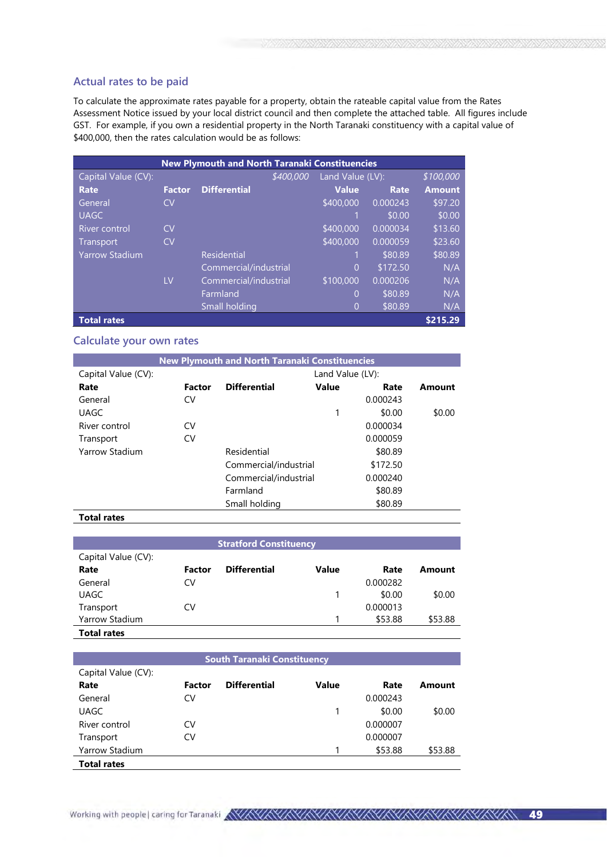### Actual rates to be paid

To calculate the approximate rates payable for a property, obtain the rateable capital value from the Rates Assessment Notice issued by your local district council and then complete the attached table. All figures include GST. For example, if you own a residential property in the North Taranaki constituency with a capital value of \$400,000, then the rates calculation would be as follows:

| <b>New Plymouth and North Taranaki Constituencies</b> |               |                               |                |             |               |  |
|-------------------------------------------------------|---------------|-------------------------------|----------------|-------------|---------------|--|
| Capital Value (CV):                                   |               | \$400,000<br>Land Value (LV): |                | \$100,000   |               |  |
| <b>Rate</b>                                           | <b>Factor</b> | <b>Differential</b>           | <b>Value</b>   | <b>Rate</b> | <b>Amount</b> |  |
| General                                               | CV            |                               | \$400,000      | 0.000243    | \$97.20       |  |
| <b>UAGC</b>                                           |               |                               |                | \$0.00      | \$0.00        |  |
| River control                                         | <b>CV</b>     |                               | \$400,000      | 0.000034    | \$13.60       |  |
| Transport                                             | <b>CV</b>     |                               | \$400,000      | 0.000059    | \$23.60       |  |
| Yarrow Stadium                                        |               | Residential                   |                | \$80.89     | \$80.89       |  |
|                                                       |               | Commercial/industrial         | $\overline{0}$ | \$172.50    | N/A           |  |
|                                                       | LV            | Commercial/industrial         | \$100,000      | 0.000206    | N/A           |  |
|                                                       |               | Farmland                      | 0              | \$80.89     | N/A           |  |
|                                                       |               | Small holding                 | $\overline{0}$ | \$80.89     | N/A           |  |
| <b>Total rates</b>                                    |               |                               |                |             | \$215.29      |  |

## Calculate your own rates

| <b>New Plymouth and North Taranaki Constituencies</b> |               |                       |       |          |        |  |
|-------------------------------------------------------|---------------|-----------------------|-------|----------|--------|--|
| Capital Value (CV):                                   |               | Land Value (LV):      |       |          |        |  |
| Rate                                                  | <b>Factor</b> | <b>Differential</b>   | Value | Rate     | Amount |  |
| General                                               | CV            |                       |       | 0.000243 |        |  |
| <b>UAGC</b>                                           |               |                       |       | \$0.00   | \$0.00 |  |
| River control                                         | CV            |                       |       | 0.000034 |        |  |
| Transport                                             | CV            |                       |       | 0.000059 |        |  |
| <b>Yarrow Stadium</b>                                 |               | Residential           |       | \$80.89  |        |  |
|                                                       |               | Commercial/industrial |       | \$172.50 |        |  |
|                                                       |               | Commercial/industrial |       | 0.000240 |        |  |
|                                                       |               | Farmland              |       | \$80.89  |        |  |
|                                                       |               | Small holding         |       | \$80.89  |        |  |

Total rates

| <b>Stratford Constituency</b> |        |                     |       |          |         |  |
|-------------------------------|--------|---------------------|-------|----------|---------|--|
| Capital Value (CV):           |        |                     |       |          |         |  |
| Rate                          | Factor | <b>Differential</b> | Value | Rate     | Amount  |  |
| General                       | CV     |                     |       | 0.000282 |         |  |
| <b>UAGC</b>                   |        |                     |       | \$0.00   | \$0.00  |  |
| Transport                     | CV     |                     |       | 0.000013 |         |  |
| <b>Yarrow Stadium</b>         |        |                     |       | \$53.88  | \$53.88 |  |
| <b>Total rates</b>            |        |                     |       |          |         |  |

| <b>South Taranaki Constituency</b> |               |                     |       |          |         |  |
|------------------------------------|---------------|---------------------|-------|----------|---------|--|
| Capital Value (CV):                |               |                     |       |          |         |  |
| Rate                               | <b>Factor</b> | <b>Differential</b> | Value | Rate     | Amount  |  |
| General                            | CV            |                     |       | 0.000243 |         |  |
| <b>UAGC</b>                        |               |                     |       | \$0.00   | \$0.00  |  |
| River control                      | CV            |                     |       | 0.000007 |         |  |
| Transport                          | CV            |                     |       | 0.000007 |         |  |
| <b>Yarrow Stadium</b>              |               |                     |       | \$53.88  | \$53.88 |  |
| <b>Total rates</b>                 |               |                     |       |          |         |  |